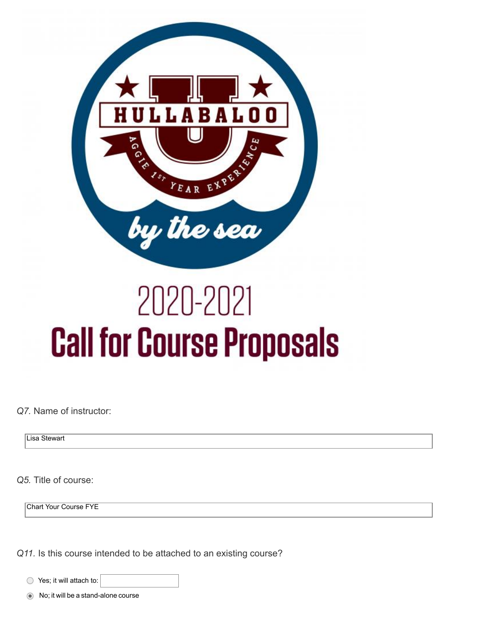

# 2020-2021 **Call for Course Proposals**

*Q7.* Name of instructor:

Lisa Stewart

*Q5.* Title of course:

Chart Your Course FYE

*Q11.* Is this course intended to be attached to an existing course?

○ Yes; it will attach to:

**■** No; it will be a stand-alone course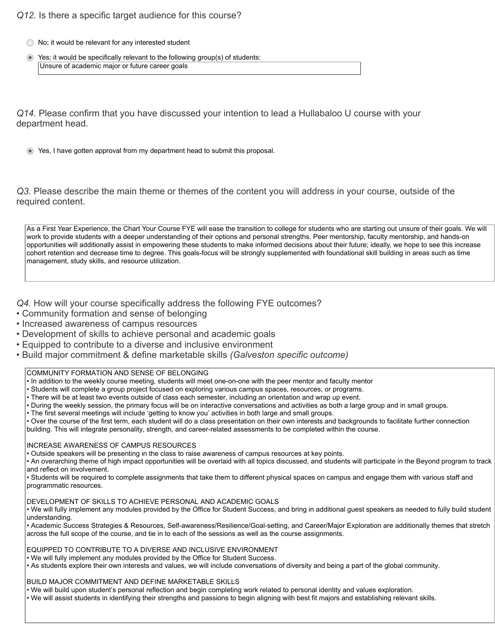# *Q12.* Is there a specific target audience for this course?

- $\bigcirc$  No; it would be relevant for any interested student
- Yes; it would be specifically relevant to the following group(s) of students: Unsure of academic major or future career goals

*Q14.* Please confirm that you have discussed your intention to lead a Hullabaloo U course with your department head.

Yes, I have gotten approval from my department head to submit this proposal.

*Q3.* Please describe the main theme or themes of the content you will address in your course, outside of the required content.

As a First Year Experience, the Chart Your Course FYE will ease the transition to college for students who are starting out unsure of their goals. We will work to provide students with a deeper understanding of their options and personal strengths. Peer mentorship, faculty mentorship, and hands-on opportunities will additionally assist in empowering these students to make informed decisions about their future; ideally, we hope to see this increase cohort retention and decrease time to degree. This goals-focus will be strongly supplemented with foundational skill building in areas such as time management, study skills, and resource utilization.

*Q4.* How will your course specifically address the following FYE outcomes?

- Community formation and sense of belonging
- Increased awareness of campus resources
- Development of skills to achieve personal and academic goals
- Equipped to contribute to a diverse and inclusive environment
- Build major commitment & define marketable skills *(Galveston specific outcome)*

## COMMUNITY FORMATION AND SENSE OF BELONGING

- In addition to the weekly course meeting, students will meet one-on-one with the peer mentor and faculty mentor
- Students will complete a group project focused on exploring various campus spaces, resources, or programs.
- There will be at least two events outside of class each semester, including an orientation and wrap up event.
- During the weekly session, the primary focus will be on interactive conversations and activities as both a large group and in small groups.
- The first several meetings will include 'getting to know you' activities in both large and small groups.
- Over the course of the first term, each student will do a class presentation on their own interests and backgrounds to facilitate further connection

building. This will integrate personality, strength, and career-related assessments to be completed within the course.

### INCREASE AWARENESS OF CAMPUS RESOURCES

• Outside speakers will be presenting in the class to raise awareness of campus resources at key points.

• An overarching theme of high impact opportunities will be overlaid with all topics discussed, and students will participate in the Beyond program to track and reflect on involvement.

• Students will be required to complete assignments that take them to different physical spaces on campus and engage them with various staff and programmatic resources.

## DEVELOPMENT OF SKILLS TO ACHIEVE PERSONAL AND ACADEMIC GOALS

• We will fully implement any modules provided by the Office for Student Success, and bring in additional guest speakers as needed to fully build student understanding.

• Academic Success Strategies & Resources, Self-awareness/Resilience/Goal-setting, and Career/Major Exploration are additionally themes that stretch across the full scope of the course, and tie in to each of the sessions as well as the course assignments.

#### EQUIPPED TO CONTRIBUTE TO A DIVERSE AND INCLUSIVE ENVIRONMENT

- We will fully implement any modules provided by the Office for Student Success.
- As students explore their own interests and values, we will include conversations of diversity and being a part of the global community.

### BUILD MAJOR COMMITMENT AND DEFINE MARKETABLE SKILLS

- We will build upon student's personal reflection and begin completing work related to personal identity and values exploration.
- We will assist students in identifying their strengths and passions to begin aligning with best fit majors and establishing relevant skills.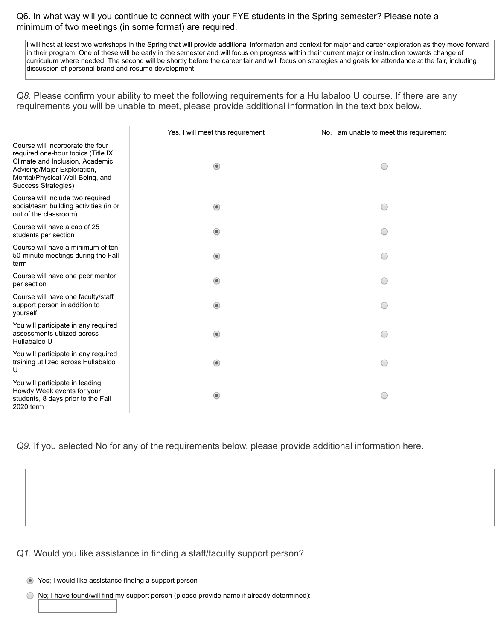# Q6. In what way will you continue to connect with your FYE students in the Spring semester? Please note a minimum of two meetings (in some format) are required.

I will host at least two workshops in the Spring that will provide additional information and context for major and career exploration as they move forward in their program. One of these will be early in the semester and will focus on progress within their current major or instruction towards change of curriculum where needed. The second will be shortly before the career fair and will focus on strategies and goals for attendance at the fair, including discussion of personal brand and resume development.

*Q8.* Please confirm your ability to meet the following requirements for a Hullabaloo U course. If there are any requirements you will be unable to meet, please provide additional information in the text box below.

|                                                                                                                                                                                                     | Yes, I will meet this requirement | No, I am unable to meet this requirement    |
|-----------------------------------------------------------------------------------------------------------------------------------------------------------------------------------------------------|-----------------------------------|---------------------------------------------|
| Course will incorporate the four<br>required one-hour topics (Title IX,<br>Climate and Inclusion, Academic<br>Advising/Major Exploration,<br>Mental/Physical Well-Being, and<br>Success Strategies) | $\odot$                           | $\left(\begin{array}{c} \end{array}\right)$ |
| Course will include two required<br>social/team building activities (in or<br>out of the classroom)                                                                                                 | $\odot$                           | ◯                                           |
| Course will have a cap of 25<br>students per section                                                                                                                                                | $\odot$                           |                                             |
| Course will have a minimum of ten<br>50-minute meetings during the Fall<br>term                                                                                                                     | $\circledcirc$                    | $\left(\begin{array}{c} \end{array}\right)$ |
| Course will have one peer mentor<br>per section                                                                                                                                                     | $\odot$                           | $\bigcirc$                                  |
| Course will have one faculty/staff<br>support person in addition to<br>yourself                                                                                                                     | $\odot$                           | $\bigcirc$                                  |
| You will participate in any required<br>assessments utilized across<br>Hullabaloo U                                                                                                                 | $\odot$                           | ◯                                           |
| You will participate in any required<br>training utilized across Hullabaloo<br>U                                                                                                                    | $\odot$                           | $\bigcirc$                                  |
| You will participate in leading<br>Howdy Week events for your<br>students, 8 days prior to the Fall<br>2020 term                                                                                    | $\odot$                           | ◯                                           |

*Q9.* If you selected No for any of the requirements below, please provide additional information here.

*Q1.* Would you like assistance in finding a staff/faculty support person?

Yes; I would like assistance finding a support person

No; I have found/will find my support person (please provide name if already determined):